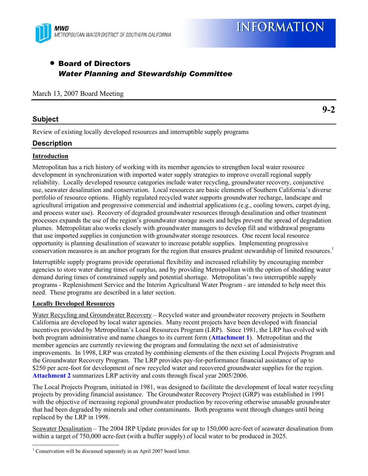

# • Board of Directors *Water Planning and Stewardship Committee*

#### March 13, 2007 Board Meeting

# **Subject**

Review of existing locally developed resources and interruptible supply programs

# **Description**

## **Introduction**

Metropolitan has a rich history of working with its member agencies to strengthen local water resource development in synchronization with imported water supply strategies to improve overall regional supply reliability. Locally developed resource categories include water recycling, groundwater recovery, conjunctive use, seawater desalination and conservation. Local resources are basic elements of Southern California's diverse portfolio of resource options. Highly regulated recycled water supports groundwater recharge, landscape and agricultural irrigation and progressive commercial and industrial applications (e.g., cooling towers, carpet dying, and process water use). Recovery of degraded groundwater resources through desalination and other treatment processes expands the use of the region's groundwater storage assets and helps prevent the spread of degradation plumes. Metropolitan also works closely with groundwater managers to develop fill and withdrawal programs that use imported supplies in conjunction with groundwater storage resources. One recent local resource opportunity is planning desalination of seawater to increase potable supplies. Implementing progressive conservation measures is an anchor program for the region that ensures prudent stewardship of limited resources.<sup>1</sup>

Interruptible supply programs provide operational flexibility and increased reliability by encouraging member agencies to store water during times of surplus, and by providing Metropolitan with the option of shedding water demand during times of constrained supply and potential shortage. Metropolitan's two interruptible supply programs - Replenishment Service and the Interim Agricultural Water Program - are intended to help meet this need. These programs are described in a later section.

#### **Locally Developed Resources**

1

Water Recycling and Groundwater Recovery – Recycled water and groundwater recovery projects in Southern California are developed by local water agencies. Many recent projects have been developed with financial incentives provided by Metropolitan's Local Resources Program (LRP). Since 1981, the LRP has evolved with both program administrative and name changes to its current form (**Attachment 1**). Metropolitan and the member agencies are currently reviewing the program and formulating the next set of administrative improvements. In 1998, LRP was created by combining elements of the then existing Local Projects Program and the Groundwater Recovery Program. The LRP provides pay-for-performance financial assistance of up to \$250 per acre-foot for development of new recycled water and recovered groundwater supplies for the region. **Attachment 2** summarizes LRP activity and costs through fiscal year 2005/2006.

The Local Projects Program, initiated in 1981, was designed to facilitate the development of local water recycling projects by providing financial assistance. The Groundwater Recovery Project (GRP) was established in 1991 with the objective of increasing regional groundwater production by recovering otherwise unusable groundwater that had been degraded by minerals and other contaminants. Both programs went through changes until being replaced by the LRP in 1998.

Seawater Desalination – The 2004 IRP Update provides for up to 150,000 acre-feet of seawater desalination from within a target of 750,000 acre-feet (with a buffer supply) of local water to be produced in 2025.

# **9-2**

<sup>&</sup>lt;sup>1</sup> Conservation will be discussed separately in an April 2007 board letter.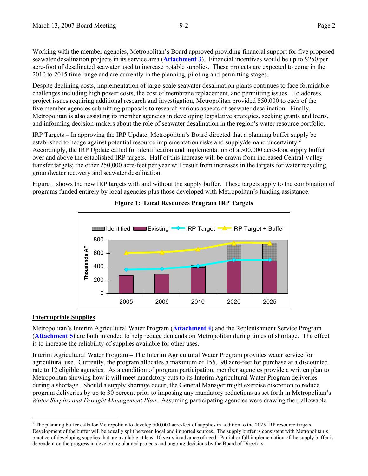Working with the member agencies, Metropolitan's Board approved providing financial support for five proposed seawater desalination projects in its service area (**Attachment 3**). Financial incentives would be up to \$250 per acre-foot of desalinated seawater used to increase potable supplies. These projects are expected to come in the 2010 to 2015 time range and are currently in the planning, piloting and permitting stages.

Despite declining costs, implementation of large-scale seawater desalination plants continues to face formidable challenges including high power costs, the cost of membrane replacement, and permitting issues. To address project issues requiring additional research and investigation, Metropolitan provided \$50,000 to each of the five member agencies submitting proposals to research various aspects of seawater desalination. Finally, Metropolitan is also assisting its member agencies in developing legislative strategies, seeking grants and loans, and informing decision-makers about the role of seawater desalination in the region's water resource portfolio.

IRP Targets – In approving the IRP Update, Metropolitan's Board directed that a planning buffer supply be established to hedge against potential resource implementation risks and supply/demand uncertainty.<sup>2</sup> Accordingly, the IRP Update called for identification and implementation of a 500,000 acre-foot supply buffer over and above the established IRP targets. Half of this increase will be drawn from increased Central Valley transfer targets; the other 250,000 acre-feet per year will result from increases in the targets for water recycling, groundwater recovery and seawater desalination.

Figure 1 shows the new IRP targets with and without the supply buffer. These targets apply to the combination of programs funded entirely by local agencies plus those developed with Metropolitan's funding assistance.



# **Figure 1: Local Resources Program IRP Targets**

#### **Interruptible Supplies**

l

Metropolitan's Interim Agricultural Water Program (**Attachment 4**) and the Replenishment Service Program (**Attachment 5**) are both intended to help reduce demands on Metropolitan during times of shortage. The effect is to increase the reliability of supplies available for other uses.

Interim Agricultural Water Program **–** The Interim Agricultural Water Program provides water service for agricultural use. Currently, the program allocates a maximum of 155,190 acre-feet for purchase at a discounted rate to 12 eligible agencies. As a condition of program participation, member agencies provide a written plan to Metropolitan showing how it will meet mandatory cuts to its Interim Agricultural Water Program deliveries during a shortage. Should a supply shortage occur, the General Manager might exercise discretion to reduce program deliveries by up to 30 percent prior to imposing any mandatory reductions as set forth in Metropolitan's *Water Surplus and Drought Management Plan*. Assuming participating agencies were drawing their allowable

<sup>&</sup>lt;sup>2</sup> The planning buffer calls for Metropolitan to develop 500,000 acre-feet of supplies in addition to the 2025 IRP resource targets. Development of the buffer will be equally split between local and imported sources. The supply buffer is consistent with Metropolitan's practice of developing supplies that are available at least 10 years in advance of need. Partial or full implementation of the supply buffer is dependent on the progress in developing planned projects and ongoing decisions by the Board of Directors.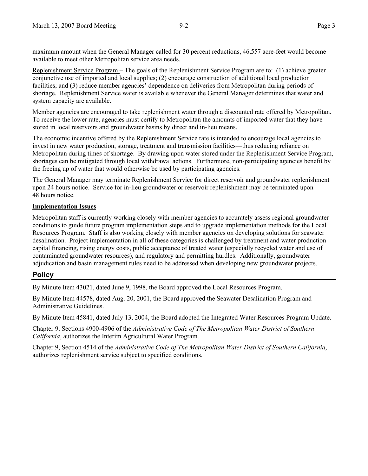maximum amount when the General Manager called for 30 percent reductions, 46,557 acre-feet would become available to meet other Metropolitan service area needs.

Replenishment Service Program – The goals of the Replenishment Service Program are to: (1) achieve greater conjunctive use of imported and local supplies; (2) encourage construction of additional local production facilities; and (3) reduce member agencies' dependence on deliveries from Metropolitan during periods of shortage. Replenishment Service water is available whenever the General Manager determines that water and system capacity are available.

Member agencies are encouraged to take replenishment water through a discounted rate offered by Metropolitan. To receive the lower rate, agencies must certify to Metropolitan the amounts of imported water that they have stored in local reservoirs and groundwater basins by direct and in-lieu means.

The economic incentive offered by the Replenishment Service rate is intended to encourage local agencies to invest in new water production, storage, treatment and transmission facilities—thus reducing reliance on Metropolitan during times of shortage. By drawing upon water stored under the Replenishment Service Program, shortages can be mitigated through local withdrawal actions. Furthermore, non-participating agencies benefit by the freeing up of water that would otherwise be used by participating agencies.

The General Manager may terminate Replenishment Service for direct reservoir and groundwater replenishment upon 24 hours notice. Service for in-lieu groundwater or reservoir replenishment may be terminated upon 48 hours notice.

#### **Implementation Issues**

Metropolitan staff is currently working closely with member agencies to accurately assess regional groundwater conditions to guide future program implementation steps and to upgrade implementation methods for the Local Resources Program. Staff is also working closely with member agencies on developing solutions for seawater desalination. Project implementation in all of these categories is challenged by treatment and water production capital financing, rising energy costs, public acceptance of treated water (especially recycled water and use of contaminated groundwater resources), and regulatory and permitting hurdles. Additionally, groundwater adjudication and basin management rules need to be addressed when developing new groundwater projects.

# **Policy**

By Minute Item 43021, dated June 9, 1998, the Board approved the Local Resources Program.

By Minute Item 44578, dated Aug. 20, 2001, the Board approved the Seawater Desalination Program and Administrative Guidelines.

By Minute Item 45841, dated July 13, 2004, the Board adopted the Integrated Water Resources Program Update.

Chapter 9, Sections 4900-4906 of the *Administrative Code of The Metropolitan Water District of Southern California*, authorizes the Interim Agricultural Water Program.

Chapter 9, Section 4514 of the *Administrative Code of The Metropolitan Water District of Southern California*, authorizes replenishment service subject to specified conditions.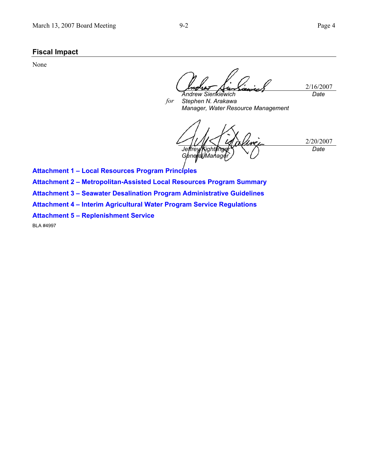# **Fiscal Impact**

None

2/16/2007 *Date* 

*for Andrew Sienkiewich Stephen N. Arakawa Manager, Water Resource Management* 

2/20/2007 Jeffrey Kightlinger *<i>General Manager Date* 

**Attachment 1 – Local Resources Program Principles** 

**Attachment 2 – Metropolitan-Assisted Local Resources Program Summary** 

**Attachment 3 – Seawater Desalination Program Administrative Guidelines** 

**Attachment 4 – Interim Agricultural Water Program Service Regulations** 

**Attachment 5 – Replenishment Service** 

BLA #4997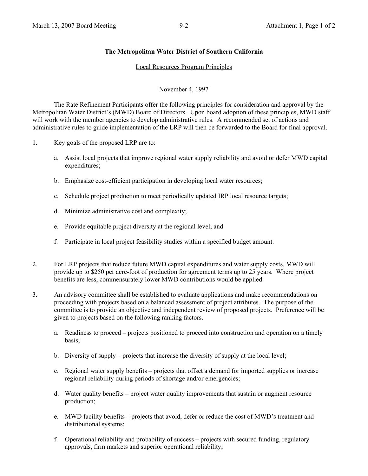#### **The Metropolitan Water District of Southern California**

#### Local Resources Program Principles

November 4, 1997

 The Rate Refinement Participants offer the following principles for consideration and approval by the Metropolitan Water District's (MWD) Board of Directors. Upon board adoption of these principles, MWD staff will work with the member agencies to develop administrative rules. A recommended set of actions and administrative rules to guide implementation of the LRP will then be forwarded to the Board for final approval.

- 1. Key goals of the proposed LRP are to:
	- a. Assist local projects that improve regional water supply reliability and avoid or defer MWD capital expenditures;
	- b. Emphasize cost-efficient participation in developing local water resources;
	- c. Schedule project production to meet periodically updated IRP local resource targets;
	- d. Minimize administrative cost and complexity;
	- e. Provide equitable project diversity at the regional level; and
	- f. Participate in local project feasibility studies within a specified budget amount.
- 2. For LRP projects that reduce future MWD capital expenditures and water supply costs, MWD will provide up to \$250 per acre-foot of production for agreement terms up to 25 years. Where project benefits are less, commensurately lower MWD contributions would be applied.
- 3. An advisory committee shall be established to evaluate applications and make recommendations on proceeding with projects based on a balanced assessment of project attributes. The purpose of the committee is to provide an objective and independent review of proposed projects. Preference will be given to projects based on the following ranking factors.
	- a. Readiness to proceed projects positioned to proceed into construction and operation on a timely basis;
	- b. Diversity of supply projects that increase the diversity of supply at the local level;
	- c. Regional water supply benefits projects that offset a demand for imported supplies or increase regional reliability during periods of shortage and/or emergencies;
	- d. Water quality benefits project water quality improvements that sustain or augment resource production;
	- e. MWD facility benefits projects that avoid, defer or reduce the cost of MWD's treatment and distributional systems;
	- f. Operational reliability and probability of success projects with secured funding, regulatory approvals, firm markets and superior operational reliability;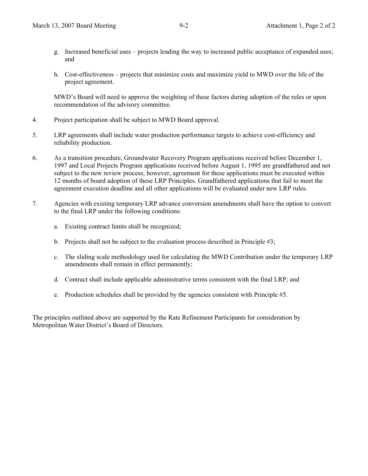- g. Increased beneficial uses projects leading the way to increased public acceptance of expanded uses; and
- h. Cost-effectiveness projects that minimize costs and maximize yield to MWD over the life of the project agreement.

MWD's Board will need to approve the weighting of these factors during adoption of the rules or upon recommendation of the advisory committee.

- 4. Project participation shall be subject to MWD Board approval.
- 5. LRP agreements shall include water production performance targets to achieve cost-efficiency and reliability production.
- 6. As a transition procedure, Groundwater Recovery Program applications received before December 1, 1997 and Local Projects Program applications received before August 1, 1995 are grandfathered and not subject to the new review process; however, agreement for these applications must be executed within 12 months of board adoption of these LRP Principles. Grandfathered applications that fail to meet the agreement execution deadline and all other applications will be evaluated under new LRP rules.
- 7. Agencies with existing temporary LRP advance conversion amendments shall have the option to convert to the final LRP under the following conditions:
	- a. Existing contract limits shall be recognized;
	- b. Projects shall not be subject to the evaluation process described in Principle #3;
	- c. The sliding scale methodology used for calculating the MWD Contribution under the temporary LRP amendments shall remain in effect permanently;
	- d. Contract shall include applicable administrative terms consistent with the final LRP; and
	- e. Production schedules shall be provided by the agencies consistent with Principle #5.

The principles outlined above are supported by the Rate Refinement Participants for consideration by Metropolitan Water District's Board of Directors.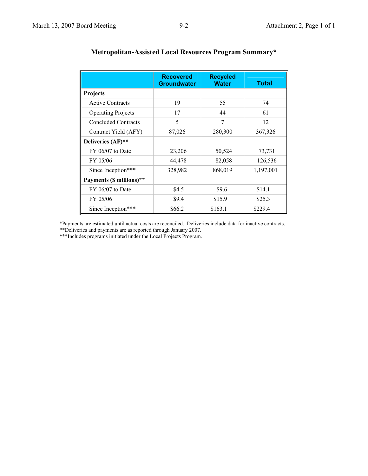|                            | <b>Recovered</b><br><b>Groundwater</b> | <b>Recycled</b><br><b>Water</b> | <b>Total</b> |
|----------------------------|----------------------------------------|---------------------------------|--------------|
| <b>Projects</b>            |                                        |                                 |              |
| <b>Active Contracts</b>    | 19                                     | 55                              | 74           |
| <b>Operating Projects</b>  | 17                                     | 44                              | 61           |
| <b>Concluded Contracts</b> | 5                                      | 7                               | 12           |
| Contract Yield (AFY)       | 87,026                                 | 280,300                         | 367,326      |
| Deliveries (AF)**          |                                        |                                 |              |
| $FY$ 06/07 to Date         | 23,206                                 | 50,524                          | 73,731       |
| FY 05/06                   | 44,478                                 | 82,058                          | 126,536      |
| Since Inception***         | 328,982                                | 868,019                         | 1,197,001    |
| Payments (\$ millions)**   |                                        |                                 |              |
| $FY$ 06/07 to Date         | \$4.5                                  | \$9.6                           | \$14.1       |
| FY 05/06                   | \$9.4                                  | \$15.9                          | \$25.3       |
| Since Inception***         | \$66.2                                 | \$163.1                         | \$229.4      |

# **Metropolitan-Assisted Local Resources Program Summary\***

\*Payments are estimated until actual costs are reconciled. Deliveries include data for inactive contracts.

\*\*Deliveries and payments are as reported through January 2007.

\*\*\*Includes programs initiated under the Local Projects Program.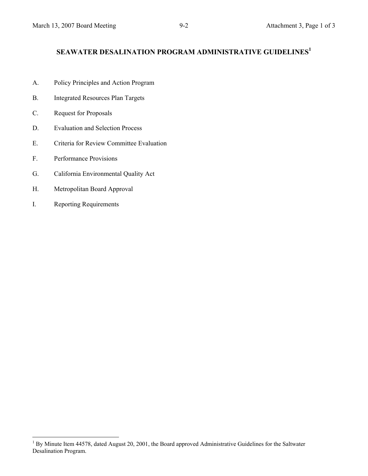# **SEAWATER DESALINATION PROGRAM ADMINISTRATIVE GUIDELINES<sup>1</sup>**

- A. Policy Principles and Action Program
- B. Integrated Resources Plan Targets
- C. Request for Proposals
- D. Evaluation and Selection Process
- E. Criteria for Review Committee Evaluation
- F. Performance Provisions
- G. California Environmental Quality Act
- H. Metropolitan Board Approval
- I. Reporting Requirements

 $\overline{a}$ 

<sup>&</sup>lt;sup>1</sup> By Minute Item 44578, dated August 20, 2001, the Board approved Administrative Guidelines for the Saltwater Desalination Program.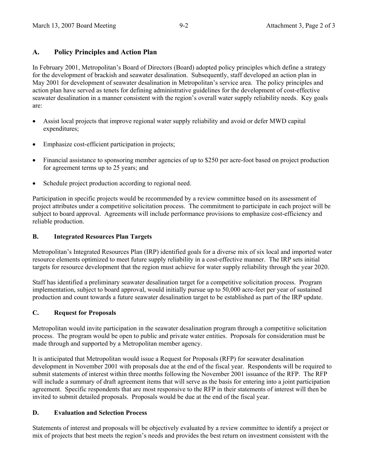# **A. Policy Principles and Action Plan**

In February 2001, Metropolitan's Board of Directors (Board) adopted policy principles which define a strategy for the development of brackish and seawater desalination. Subsequently, staff developed an action plan in May 2001 for development of seawater desalination in Metropolitan's service area. The policy principles and action plan have served as tenets for defining administrative guidelines for the development of cost-effective seawater desalination in a manner consistent with the region's overall water supply reliability needs. Key goals are:

- Assist local projects that improve regional water supply reliability and avoid or defer MWD capital expenditures;
- Emphasize cost-efficient participation in projects;
- Financial assistance to sponsoring member agencies of up to \$250 per acre-foot based on project production for agreement terms up to 25 years; and
- Schedule project production according to regional need.

Participation in specific projects would be recommended by a review committee based on its assessment of project attributes under a competitive solicitation process. The commitment to participate in each project will be subject to board approval. Agreements will include performance provisions to emphasize cost-efficiency and reliable production.

## **B. Integrated Resources Plan Targets**

Metropolitan's Integrated Resources Plan (IRP) identified goals for a diverse mix of six local and imported water resource elements optimized to meet future supply reliability in a cost-effective manner. The IRP sets initial targets for resource development that the region must achieve for water supply reliability through the year 2020.

Staff has identified a preliminary seawater desalination target for a competitive solicitation process. Program implementation, subject to board approval, would initially pursue up to 50,000 acre-feet per year of sustained production and count towards a future seawater desalination target to be established as part of the IRP update.

## **C. Request for Proposals**

Metropolitan would invite participation in the seawater desalination program through a competitive solicitation process. The program would be open to public and private water entities. Proposals for consideration must be made through and supported by a Metropolitan member agency.

It is anticipated that Metropolitan would issue a Request for Proposals (RFP) for seawater desalination development in November 2001 with proposals due at the end of the fiscal year. Respondents will be required to submit statements of interest within three months following the November 2001 issuance of the RFP. The RFP will include a summary of draft agreement items that will serve as the basis for entering into a joint participation agreement. Specific respondents that are most responsive to the RFP in their statements of interest will then be invited to submit detailed proposals. Proposals would be due at the end of the fiscal year.

## **D. Evaluation and Selection Process**

Statements of interest and proposals will be objectively evaluated by a review committee to identify a project or mix of projects that best meets the region's needs and provides the best return on investment consistent with the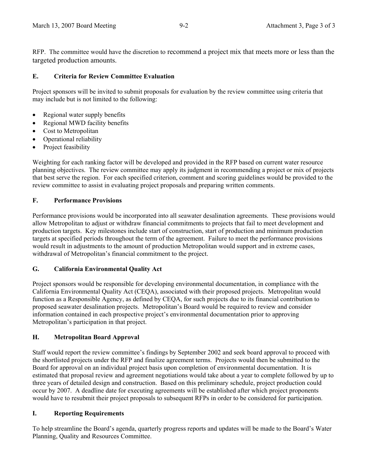RFP. The committee would have the discretion to recommend a project mix that meets more or less than the targeted production amounts.

# **E. Criteria for Review Committee Evaluation**

Project sponsors will be invited to submit proposals for evaluation by the review committee using criteria that may include but is not limited to the following:

- Regional water supply benefits
- Regional MWD facility benefits
- Cost to Metropolitan
- Operational reliability
- Project feasibility

Weighting for each ranking factor will be developed and provided in the RFP based on current water resource planning objectives. The review committee may apply its judgment in recommending a project or mix of projects that best serve the region. For each specified criterion, comment and scoring guidelines would be provided to the review committee to assist in evaluating project proposals and preparing written comments.

## **F. Performance Provisions**

Performance provisions would be incorporated into all seawater desalination agreements. These provisions would allow Metropolitan to adjust or withdraw financial commitments to projects that fail to meet development and production targets. Key milestones include start of construction, start of production and minimum production targets at specified periods throughout the term of the agreement. Failure to meet the performance provisions would result in adjustments to the amount of production Metropolitan would support and in extreme cases, withdrawal of Metropolitan's financial commitment to the project.

## **G. California Environmental Quality Act**

Project sponsors would be responsible for developing environmental documentation, in compliance with the California Environmental Quality Act (CEQA), associated with their proposed projects. Metropolitan would function as a Responsible Agency, as defined by CEQA, for such projects due to its financial contribution to proposed seawater desalination projects. Metropolitan's Board would be required to review and consider information contained in each prospective project's environmental documentation prior to approving Metropolitan's participation in that project.

## **H. Metropolitan Board Approval**

Staff would report the review committee's findings by September 2002 and seek board approval to proceed with the shortlisted projects under the RFP and finalize agreement terms. Projects would then be submitted to the Board for approval on an individual project basis upon completion of environmental documentation. It is estimated that proposal review and agreement negotiations would take about a year to complete followed by up to three years of detailed design and construction. Based on this preliminary schedule, project production could occur by 2007. A deadline date for executing agreements will be established after which project proponents would have to resubmit their project proposals to subsequent RFPs in order to be considered for participation.

## **I. Reporting Requirements**

To help streamline the Board's agenda, quarterly progress reports and updates will be made to the Board's Water Planning, Quality and Resources Committee.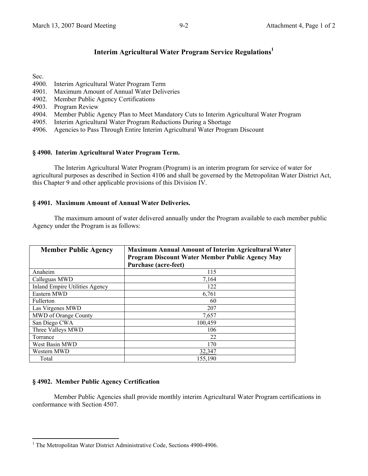# **Interim Agricultural Water Program Service Regulations1**

Sec.

- 4900. Interim Agricultural Water Program Term
- 4901. Maximum Amount of Annual Water Deliveries
- 4902. Member Public Agency Certifications
- 4903. Program Review
- 4904. Member Public Agency Plan to Meet Mandatory Cuts to Interim Agricultural Water Program
- 4905. Interim Agricultural Water Program Reductions During a Shortage
- 4906. Agencies to Pass Through Entire Interim Agricultural Water Program Discount

#### **§ 4900. Interim Agricultural Water Program Term.**

The Interim Agricultural Water Program (Program) is an interim program for service of water for agricultural purposes as described in Section 4106 and shall be governed by the Metropolitan Water District Act, this Chapter 9 and other applicable provisions of this Division IV.

#### **§ 4901. Maximum Amount of Annual Water Deliveries.**

The maximum amount of water delivered annually under the Program available to each member public Agency under the Program is as follows:

| <b>Member Public Agency</b>           | <b>Maximum Annual Amount of Interim Agricultural Water</b><br><b>Program Discount Water Member Public Agency May</b><br><b>Purchase (acre-feet)</b> |
|---------------------------------------|-----------------------------------------------------------------------------------------------------------------------------------------------------|
| Anaheim                               | 115                                                                                                                                                 |
| Calleguas MWD                         | 7,164                                                                                                                                               |
| <b>Inland Empire Utilities Agency</b> | 122                                                                                                                                                 |
| Eastern MWD                           | 6,761                                                                                                                                               |
| <b>Fullerton</b>                      | 60                                                                                                                                                  |
| Las Virgenes MWD                      | 207                                                                                                                                                 |
| MWD of Orange County                  | 7,657                                                                                                                                               |
| San Diego CWA                         | 100.459                                                                                                                                             |
| Three Valleys MWD                     | 106                                                                                                                                                 |
| Torrance                              | 22                                                                                                                                                  |
| West Basin MWD                        | 170                                                                                                                                                 |
| Western MWD                           | 32,347                                                                                                                                              |
| Total                                 | 155,190                                                                                                                                             |

## **§ 4902. Member Public Agency Certification**

 $\overline{a}$ 

 Member Public Agencies shall provide monthly interim Agricultural Water Program certifications in conformance with Section 4507.

<sup>&</sup>lt;sup>1</sup> The Metropolitan Water District Administrative Code, Sections 4900-4906.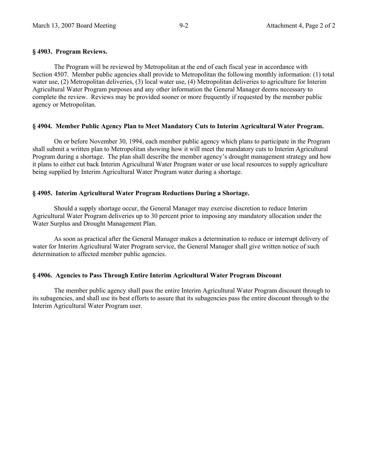#### **§ 4903. Program Reviews.**

 The Program will be reviewed by Metropolitan at the end of each fiscal year in accordance with Section 4507. Member public agencies shall provide to Metropolitan the following monthly information: (1) total water use, (2) Metropolitan deliveries, (3) local water use, (4) Metropolitan deliveries to agriculture for Interim Agricultural Water Program purposes and any other information the General Manager deems necessary to complete the review. Reviews may be provided sooner or more frequently if requested by the member public agency or Metropolitan.

#### **§ 4904. Member Public Agency Plan to Meet Mandatory Cuts to Interim Agricultural Water Program.**

On or before November 30, 1994, each member public agency which plans to participate in the Program shall submit a written plan to Metropolitan showing how it will meet the mandatory cuts to Interim Agricultural Program during a shortage. The plan shall describe the member agency's drought management strategy and how it plans to either cut back Interim Agricultural Water Program water or use local resources to supply agriculture being supplied by Interim Agricultural Water Program water during a shortage.

#### **§ 4905. Interim Agricultural Water Program Reductions During a Shortage.**

 Should a supply shortage occur, the General Manager may exercise discretion to reduce Interim Agricultural Water Program deliveries up to 30 percent prior to imposing any mandatory allocation under the Water Surplus and Drought Management Plan.

 As soon as practical after the General Manager makes a determination to reduce or interrupt delivery of water for Interim Agricultural Water Program service, the General Manager shall give written notice of such determination to affected member public agencies.

#### **§ 4906. Agencies to Pass Through Entire Interim Agricultural Water Program Discount**

 The member public agency shall pass the entire Interim Agricultural Water Program discount through to its subagencies, and shall use its best efforts to assure that its subagencies pass the entire discount through to the Interim Agricultural Water Program user.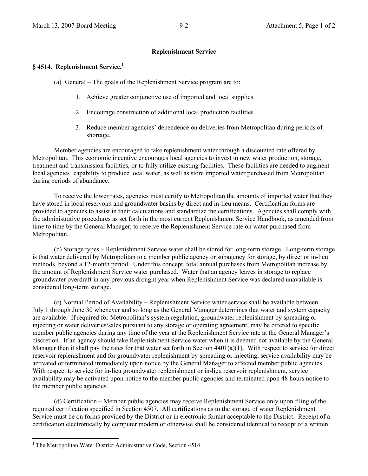#### **Replenishment Service**

#### **§ 4514. Replenishment Service.<sup>1</sup>**

- (a) General The goals of the Replenishment Service program are to:
	- 1. Achieve greater conjunctive use of imported and local supplies.
	- 2. Encourage construction of additional local production facilities.
	- 3. Reduce member agencies' dependence on deliveries from Metropolitan during periods of shortage.

Member agencies are encouraged to take replenishment water through a discounted rate offered by Metropolitan. This economic incentive encourages local agencies to invest in new water production, storage, treatment and transmission facilities, or to fully utilize existing facilities. These facilities are needed to augment local agencies' capability to produce local water, as well as store imported water purchased from Metropolitan during periods of abundance.

To receive the lower rates, agencies must certify to Metropolitan the amounts of imported water that they have stored in local reservoirs and groundwater basins by direct and in-lieu means. Certification forms are provided to agencies to assist in their calculations and standardize the certifications. Agencies shall comply with the administrative procedures as set forth in the most current Replenishment Service Handbook, as amended from time to time by the General Manager, to receive the Replenishment Service rate on water purchased from Metropolitan.

(b) Storage types – Replenishment Service water shall be stored for long-term storage. Long-term storage is that water delivered by Metropolitan to a member public agency or subagency for storage, by direct or in-lieu methods, beyond a 12-month period. Under this concept, total annual purchases from Metropolitan increase by the amount of Replenishment Service water purchased. Water that an agency leaves in storage to replace groundwater overdraft in any previous drought year when Replenishment Service was declared unavailable is considered long-term storage.

(c) Normal Period of Availability – Replenishment Service water service shall be available between July 1 through June 30 whenever and so long as the General Manager determines that water and system capacity are available. If required for Metropolitan's system regulation, groundwater replenishment by spreading or injecting or water deliveries/sales pursuant to any storage or operating agreement, may be offered to specific member public agencies during any time of the year at the Replenishment Service rate at the General Manager's discretion. If an agency should take Replenishment Service water when it is deemed not available by the General Manager then it shall pay the rates for that water set forth in Section  $4401(a)(1)$ . With respect to service for direct reservoir replenishment and for groundwater replenishment by spreading or injecting, service availability may be activated or terminated immediately upon notice by the General Manager to affected member public agencies. With respect to service for in-lieu groundwater replenishment or in-lieu reservoir replenishment, service availability may be activated upon notice to the member public agencies and terminated upon 48 hours notice to the member public agencies.

(d) Certification – Member public agencies may receive Replenishment Service only upon filing of the required certification specified in Section 4507. All certifications as to the storage of water Replenishment Service must be on forms provided by the District or in electronic format acceptable to the District. Receipt of a certification electronically by computer modem or otherwise shall be considered identical to receipt of a written

 $\overline{a}$ 

<sup>&</sup>lt;sup>1</sup> The Metropolitan Water District Administrative Code, Section 4514.